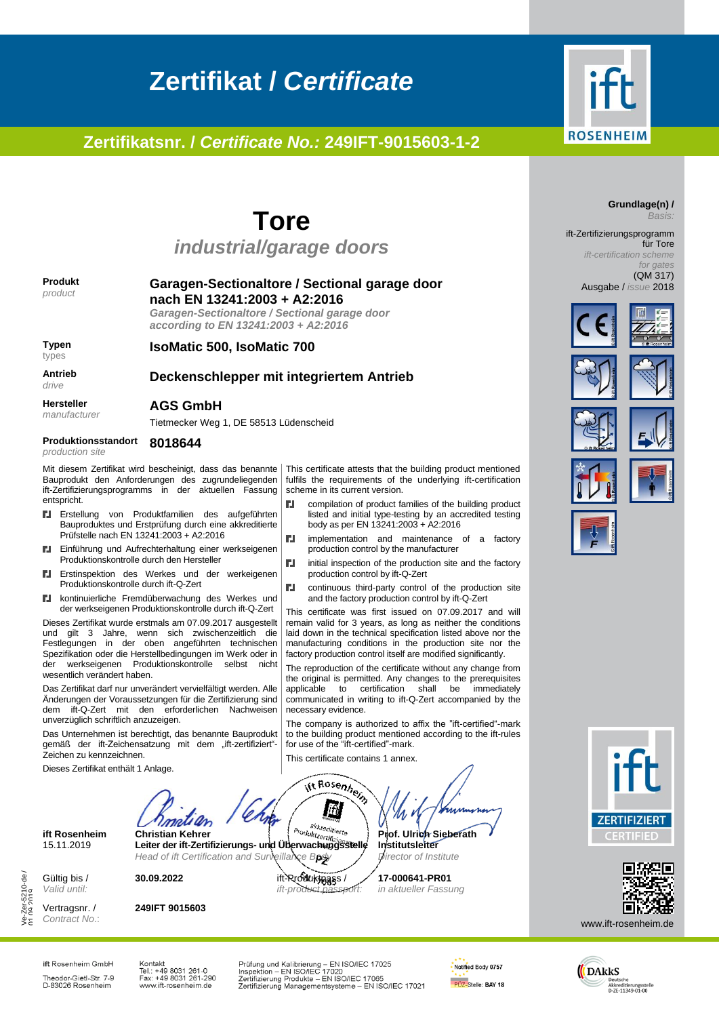# **ROSENHEIM**

## **Tore**

**Zertifikat /** *Certificate*

**Zertifikatsnr. /** *Certificate No.:* **249IFT-9015603-1-2**

*industrial/garage doors*

#### **Produkt** *product*

**Typen** types

**Antrieb** *drive*

#### **Garagen-Sectionaltore / Sectional garage door nach EN 13241:2003 + A2:2016**

*Garagen-Sectionaltore / Sectional garage door according to EN 13241:2003 + A2:2016*

**IsoMatic 500, IsoMatic 700**

#### **Deckenschlepper mit integriertem Antrieb**

ГJ,

**CJ** 

ГJ.

ГJ.

**Hersteller**

*manufacturer*

#### **AGS GmbH** Tietmecker Weg 1, DE 58513 Lüdenscheid

**Produktionsstandort** *production site*

**8018644**

Mit diesem Zertifikat wird bescheinigt, dass das benannte Bauprodukt den Anforderungen des zugrundeliegenden ift-Zertifizierungsprogramms in der aktuellen Fassung entspricht.

- Erstellung von Produktfamilien des aufgeführten ГJ. Bauproduktes und Erstprüfung durch eine akkreditierte Prüfstelle nach EN 13241:2003 + A2:2016
- Einführung und Aufrechterhaltung einer werkseigenen ГJ. Produktionskontrolle durch den Hersteller
- Erstinspektion des Werkes und der werkeigenen ГJ. Produktionskontrolle durch ift-Q-Zert
- kontinuierliche Fremdüberwachung des Werkes und ГJ. der werkseigenen Produktionskontrolle durch ift-Q-Zert

Dieses Zertifikat wurde erstmals am 07.09.2017 ausgestellt und gilt 3 Jahre, wenn sich zwischenzeitlich die Festlegungen in der oben angeführten technischen Spezifikation oder die Herstellbedingungen im Werk oder in der werkseigenen Produktionskontrolle selbst nicht wesentlich verändert haben.

Das Zertifikat darf nur unverändert vervielfältigt werden. Alle Änderungen der Voraussetzungen für die Zertifizierung sind dem ift-Q-Zert mit den erforderlichen Nachweisen unverzüglich schriftlich anzuzeigen.

Das Unternehmen ist berechtigt, das benannte Bauprodukt gemäß der ift-Zeichensatzung mit dem "ift-zertifiziert"-Zeichen zu kennzeichnen.

Dieses Zertifikat enthält 1 Anlage.

ift Rosenhein lift **ift Rosenheim Christian Kehrer Prof. Ulrich Sieberath** 15.11.2019 **Leiter der ift-Zertifizierungs- und Überwachungsstelle Institutsleiter**

Gültig bis / *Valid until:*

Vertragsnr. / *Contract No*.:

Ve-Zer-5210-de / /e-Zer-5210-de /<br>11 09 2019

**249IFT 9015603**

*ift-product passport:*

necessary evidence.

for use of the "ift-certified"-mark. This certificate contains 1 annex.

**17-000641-PR01**  *in aktueller Fassung*

This certificate attests that the building product mentioned fulfils the requirements of the underlying ift-certification

body as per EN 13241:2003 + A2:2016

production control by the manufacturer

production control by ift-Q-Zert

compilation of product families of the building product listed and initial type-testing by an accredited testing

implementation and maintenance of a factory

initial inspection of the production site and the factory

continuous third-party control of the production site and the factory production control by ift-Q-Zert This certificate was first issued on 07.09.2017 and will remain valid for 3 years, as long as neither the conditions laid down in the technical specification listed above nor the manufacturing conditions in the production site nor the factory production control itself are modified significantly. The reproduction of the certificate without any change from the original is permitted. Any changes to the prerequisites applicable to certification shall be immediately communicated in writing to ift-Q-Zert accompanied by the

The company is authorized to affix the "ift-certified"-mark to the building product mentioned according to the ift-rules

 ${\cal U}$ 

scheme in its current version.

*Basis:* ift-Zertifizierungsprogramm für Tore

**Grundlage(n) /**

*ift-certification scheme for gates* (QM 317)

Ausgabe / *issue* 2018





















www.ift-rosenheim.de

ift Rosenheim GmbH Theodor-Gietl-Str. 7-9<br>D-83026 Rosenheim Kontakt Kontakt<br>Tel.: +49 8031 261-0<br>Fax: +49 8031 261-290<br>www.ift-rosenheim.de Prüfung und Kalibrierung – EN ISO/IEC 17025<br>Inspektion – EN ISO/IEC 17020<br>Zertifizierung Produkte – EN ISO/IEC 17065<br>Zertifizierung Managementsysteme – EN ISO/IEC 17021





Head of ift Certification and Surveillance Body / *Director of Institute* **30.09.2022** ift-Produktpass /